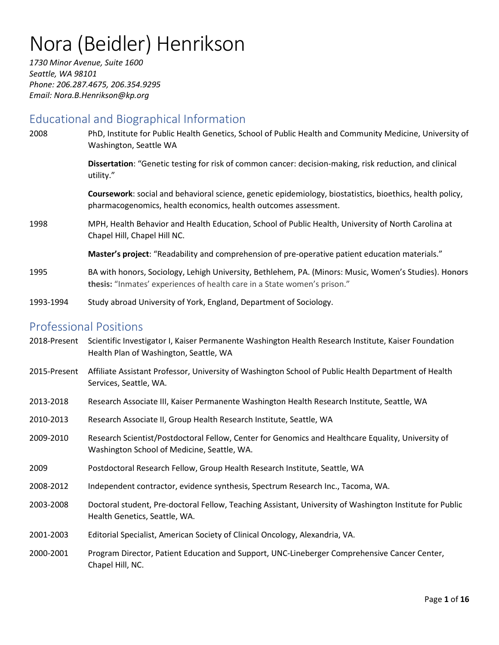# Nora (Beidler) Henrikson

*1730 Minor Avenue, Suite 1600 Seattle, WA 98101 Phone: 206.287.4675, 206.354.9295 Email: Nora.B.Henrikson@kp.org*

# Educational and Biographical Information

| 2008         | PhD, Institute for Public Health Genetics, School of Public Health and Community Medicine, University of<br>Washington, Seattle WA                                                |
|--------------|-----------------------------------------------------------------------------------------------------------------------------------------------------------------------------------|
|              | Dissertation: "Genetic testing for risk of common cancer: decision-making, risk reduction, and clinical<br>utility."                                                              |
|              | Coursework: social and behavioral science, genetic epidemiology, biostatistics, bioethics, health policy,<br>pharmacogenomics, health economics, health outcomes assessment.      |
| 1998         | MPH, Health Behavior and Health Education, School of Public Health, University of North Carolina at<br>Chapel Hill, Chapel Hill NC.                                               |
|              | Master's project: "Readability and comprehension of pre-operative patient education materials."                                                                                   |
| 1995         | BA with honors, Sociology, Lehigh University, Bethlehem, PA. (Minors: Music, Women's Studies). Honors<br>thesis: "Inmates' experiences of health care in a State women's prison." |
| 1993-1994    | Study abroad University of York, England, Department of Sociology.                                                                                                                |
|              | <b>Professional Positions</b>                                                                                                                                                     |
|              | 2018-Present Scientific Investigator I, Kaiser Permanente Washington Health Research Institute, Kaiser Foundation<br>Health Plan of Washington, Seattle, WA                       |
| 2015-Present | Affiliate Assistant Professor, University of Washington School of Public Health Department of Health<br>Services, Seattle, WA.                                                    |
| 2013-2018    | Research Associate III, Kaiser Permanente Washington Health Research Institute, Seattle, WA                                                                                       |
| 2010-2013    | Research Associate II, Group Health Research Institute, Seattle, WA                                                                                                               |
| 2009-2010    | Research Scientist/Postdoctoral Fellow, Center for Genomics and Healthcare Equality, University of<br>Washington School of Medicine, Seattle, WA.                                 |
| 2009         | Postdoctoral Research Fellow, Group Health Research Institute, Seattle, WA                                                                                                        |
| 2008-2012    | Independent contractor, evidence synthesis, Spectrum Research Inc., Tacoma, WA.                                                                                                   |
| 2003-2008    | Doctoral student, Pre-doctoral Fellow, Teaching Assistant, University of Washington Institute for Public<br>Health Genetics, Seattle, WA.                                         |
| 2001-2003    | Editorial Specialist, American Society of Clinical Oncology, Alexandria, VA.                                                                                                      |
| 2000-2001    | Program Director, Patient Education and Support, UNC-Lineberger Comprehensive Cancer Center,<br>Chapel Hill, NC.                                                                  |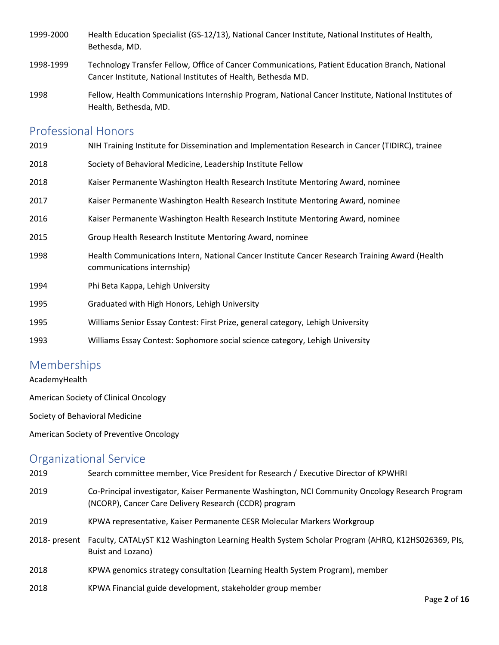- 1999-2000 Health Education Specialist (GS-12/13), National Cancer Institute, National Institutes of Health, Bethesda, MD.
- 1998-1999 Technology Transfer Fellow, Office of Cancer Communications, Patient Education Branch, National Cancer Institute, National Institutes of Health, Bethesda MD.
- 1998 Fellow, Health Communications Internship Program, National Cancer Institute, National Institutes of Health, Bethesda, MD.

# Professional Honors

| 2019 | NIH Training Institute for Dissemination and Implementation Research in Cancer (TIDIRC), trainee                             |
|------|------------------------------------------------------------------------------------------------------------------------------|
| 2018 | Society of Behavioral Medicine, Leadership Institute Fellow                                                                  |
| 2018 | Kaiser Permanente Washington Health Research Institute Mentoring Award, nominee                                              |
| 2017 | Kaiser Permanente Washington Health Research Institute Mentoring Award, nominee                                              |
| 2016 | Kaiser Permanente Washington Health Research Institute Mentoring Award, nominee                                              |
| 2015 | Group Health Research Institute Mentoring Award, nominee                                                                     |
| 1998 | Health Communications Intern, National Cancer Institute Cancer Research Training Award (Health<br>communications internship) |
| 1994 | Phi Beta Kappa, Lehigh University                                                                                            |
| 1995 | Graduated with High Honors, Lehigh University                                                                                |
| 1995 | Williams Senior Essay Contest: First Prize, general category, Lehigh University                                              |
| 1993 | Williams Essay Contest: Sophomore social science category, Lehigh University                                                 |

# Memberships

AcademyHealth

American Society of Clinical Oncology

Society of Behavioral Medicine

American Society of Preventive Oncology

# Organizational Service

| 2019 | Search committee member, Vice President for Research / Executive Director of KPWHRI                                                                       |
|------|-----------------------------------------------------------------------------------------------------------------------------------------------------------|
| 2019 | Co-Principal investigator, Kaiser Permanente Washington, NCI Community Oncology Research Program<br>(NCORP), Cancer Care Delivery Research (CCDR) program |
| 2019 | KPWA representative, Kaiser Permanente CESR Molecular Markers Workgroup                                                                                   |
|      | 2018- present Faculty, CATALyST K12 Washington Learning Health System Scholar Program (AHRQ, K12HS026369, PIs,<br>Buist and Lozano)                       |
| 2018 | KPWA genomics strategy consultation (Learning Health System Program), member                                                                              |
| 2018 | KPWA Financial guide development, stakeholder group member                                                                                                |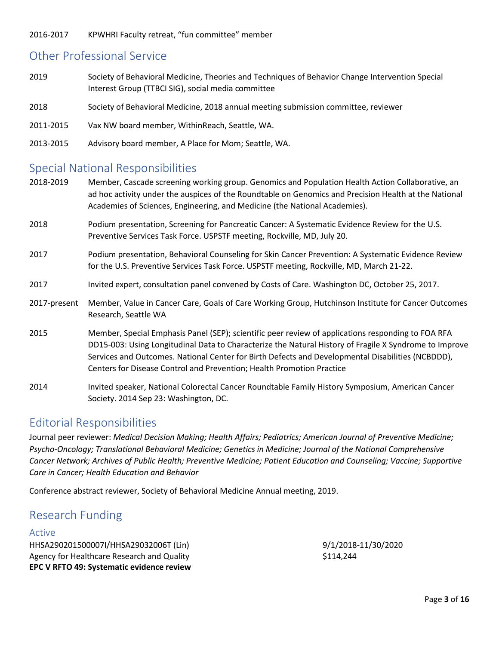2016-2017 KPWHRI Faculty retreat, "fun committee" member

# Other Professional Service

- 2019 Society of Behavioral Medicine, Theories and Techniques of Behavior Change Intervention Special Interest Group (TTBCI SIG), social media committee
- 2018 Society of Behavioral Medicine, 2018 annual meeting submission committee, reviewer
- 2011-2015 Vax NW board member, WithinReach, Seattle, WA.
- 2013-2015 Advisory board member, A Place for Mom; Seattle, WA.

# Special National Responsibilities

- 2018-2019 Member, Cascade screening working group. Genomics and Population Health Action Collaborative, an ad hoc activity under the auspices of the Roundtable on Genomics and Precision Health at the National Academies of Sciences, Engineering, and Medicine (the National Academies).
- 2018 Podium presentation, Screening for Pancreatic Cancer: A Systematic Evidence Review for the U.S. Preventive Services Task Force. USPSTF meeting, Rockville, MD, July 20.
- 2017 Podium presentation, Behavioral Counseling for Skin Cancer Prevention: A Systematic Evidence Review for the U.S. Preventive Services Task Force. USPSTF meeting, Rockville, MD, March 21-22.
- 2017 Invited expert, consultation panel convened by Costs of Care. Washington DC, October 25, 2017.
- 2017-present Member, Value in Cancer Care, Goals of Care Working Group, Hutchinson Institute for Cancer Outcomes Research, Seattle WA
- 2015 Member, Special Emphasis Panel (SEP); scientific peer review of applications responding to FOA RFA DD15-003: Using Longitudinal Data to Characterize the Natural History of Fragile X Syndrome to Improve Services and Outcomes. National Center for Birth Defects and Developmental Disabilities (NCBDDD), Centers for Disease Control and Prevention; Health Promotion Practice
- 2014 Invited speaker, National Colorectal Cancer Roundtable Family History Symposium, American Cancer Society. 2014 Sep 23: Washington, DC.

# Editorial Responsibilities

Journal peer reviewer: *Medical Decision Making; Health Affairs; Pediatrics; American Journal of Preventive Medicine; Psycho-Oncology; Translational Behavioral Medicine; Genetics in Medicine; Journal of the National Comprehensive Cancer Network; Archives of Public Health; Preventive Medicine; Patient Education and Counseling; Vaccine; Supportive Care in Cancer; Health Education and Behavior*

Conference abstract reviewer, Society of Behavioral Medicine Annual meeting, 2019.

# Research Funding

### Active

HHSA290201500007I/HHSA29032006T (Lin) 9/1/2018-11/30/2020 Agency for Healthcare Research and Quality **\$114,244** \$114,244 **EPC V RFTO 49: Systematic evidence review**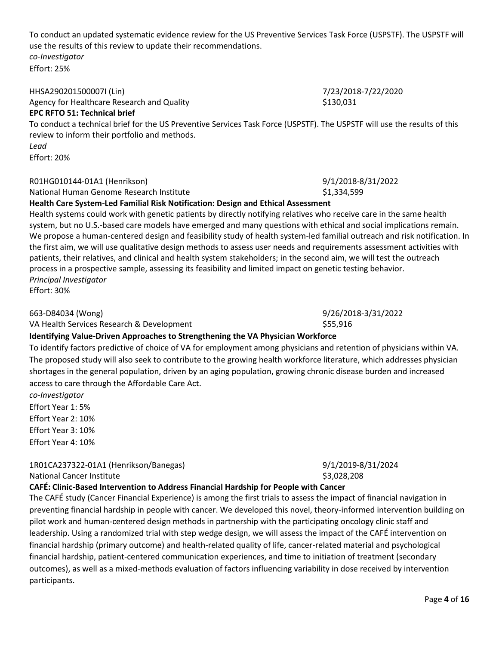To conduct an updated systematic evidence review for the US Preventive Services Task Force (USPSTF). The USPSTF will use the results of this review to update their recommendations. *co-Investigator* Effort: 25%

HHSA290201500007I (Lin) 7/23/2018-7/22/2020

Agency for Healthcare Research and Quality **\$130,031** \$130,031 **EPC RFTO 51: Technical brief** To conduct a technical brief for the US Preventive Services Task Force (USPSTF). The USPSTF will use the results of this review to inform their portfolio and methods.

*Lead* Effort: 20%

### R01HG010144-01A1 (Henrikson) 9/1/2018-8/31/2022

National Human Genome Research Institute \$1,334,599

**Health Care System-Led Familial Risk Notification: Design and Ethical Assessment**

Health systems could work with genetic patients by directly notifying relatives who receive care in the same health system, but no U.S.-based care models have emerged and many questions with ethical and social implications remain. We propose a human-centered design and feasibility study of health system-led familial outreach and risk notification. In the first aim, we will use qualitative design methods to assess user needs and requirements assessment activities with patients, their relatives, and clinical and health system stakeholders; in the second aim, we will test the outreach process in a prospective sample, assessing its feasibility and limited impact on genetic testing behavior. *Principal Investigator* Effort: 30%

VA Health Services Research & Development  $$55,916$ 

# **Identifying Value-Driven Approaches to Strengthening the VA Physician Workforce**

To identify factors predictive of choice of VA for employment among physicians and retention of physicians within VA. The proposed study will also seek to contribute to the growing health workforce literature, which addresses physician shortages in the general population, driven by an aging population, growing chronic disease burden and increased access to care through the Affordable Care Act.

*co-Investigator*

Effort Year 1: 5% Effort Year 2: 10%

Effort Year 3: 10%

Effort Year 4: 10%

1R01CA237322-01A1 (Henrikson/Banegas) 9/1/2019-8/31/2024

National Cancer Institute  $\sim$  3.028.208

### **CAFÉ: Clinic-Based Intervention to Address Financial Hardship for People with Cancer**

The CAFÉ study (Cancer Financial Experience) is among the first trials to assess the impact of financial navigation in preventing financial hardship in people with cancer. We developed this novel, theory-informed intervention building on pilot work and human-centered design methods in partnership with the participating oncology clinic staff and leadership. Using a randomized trial with step wedge design, we will assess the impact of the CAFÉ intervention on financial hardship (primary outcome) and health-related quality of life, cancer-related material and psychological financial hardship, patient-centered communication experiences, and time to initiation of treatment (secondary outcomes), as well as a mixed-methods evaluation of factors influencing variability in dose received by intervention participants.

663-D84034 (Wong) 9/26/2018-3/31/2022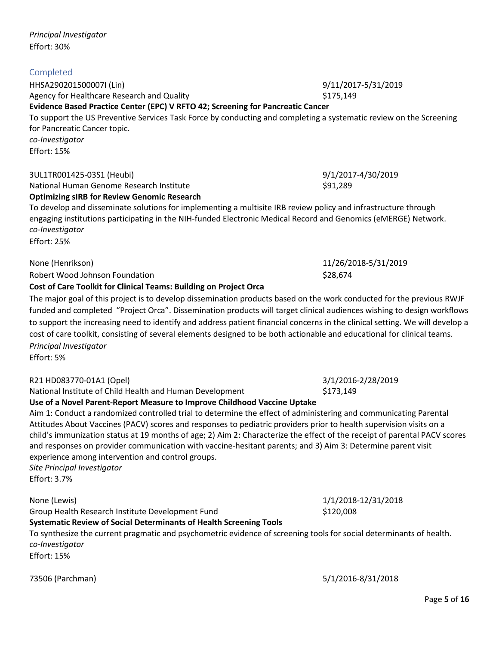*Principal Investigator* Effort: 30%

# Completed

HHSA290201500007I (Lin) 9/11/2017-5/31/2019 Agency for Healthcare Research and Quality **\$175,149** \$175,149

**Evidence Based Practice Center (EPC) V RFTO 42; Screening for Pancreatic Cancer** To support the US Preventive Services Task Force by conducting and completing a systematic review on the Screening for Pancreatic Cancer topic. *co-Investigator* Effort: 15%

# 3UL1TR001425-03S1 (Heubi) 9/1/2017-4/30/2019

### National Human Genome Research Institute \$91,289 **Optimizing sIRB for Review Genomic Research**

To develop and disseminate solutions for implementing a multisite IRB review policy and infrastructure through engaging institutions participating in the NIH-funded Electronic Medical Record and Genomics (eMERGE) Network. *co-Investigator*

Effort: 25%

None (Henrikson) 11/26/2018-5/31/2019

Robert Wood Johnson Foundation  $\sim$  828,674 **Cost of Care Toolkit for Clinical Teams: Building on Project Orca**

The major goal of this project is to develop dissemination products based on the work conducted for the previous RWJF funded and completed "Project Orca". Dissemination products will target clinical audiences wishing to design workflows to support the increasing need to identify and address patient financial concerns in the clinical setting. We will develop a cost of care toolkit, consisting of several elements designed to be both actionable and educational for clinical teams. *Principal Investigator*

Effort: 5%

R21 HD083770-01A1 (Opel) 3/1/2016-2/28/2019

National Institute of Child Health and Human Development \$173,149

**Use of a Novel Parent-Report Measure to Improve Childhood Vaccine Uptake**

Aim 1: Conduct a randomized controlled trial to determine the effect of administering and communicating Parental Attitudes About Vaccines (PACV) scores and responses to pediatric providers prior to health supervision visits on a child's immunization status at 19 months of age; 2) Aim 2: Characterize the effect of the receipt of parental PACV scores and responses on provider communication with vaccine-hesitant parents; and 3) Aim 3: Determine parent visit experience among intervention and control groups. *Site Principal Investigator*

Effort: 3.7%

Group Health Research Institute Development Fund \$120,008

**Systematic Review of Social Determinants of Health Screening Tools**

To synthesize the current pragmatic and psychometric evidence of screening tools for social determinants of health. *co-Investigator* Effort: 15%

73506 (Parchman) 5/1/2016-8/31/2018

None (Lewis) 1/1/2018-12/31/2018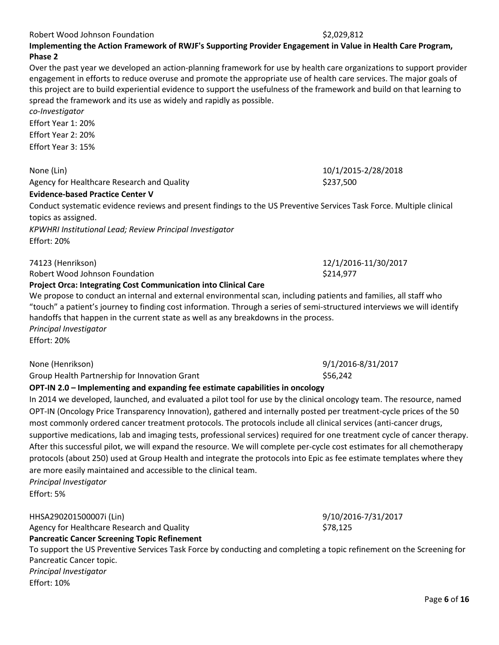### Robert Wood Johnson Foundation  $\sim$  20029.812

**Implementing the Action Framework of RWJF's Supporting Provider Engagement in Value in Health Care Program, Phase 2**

Over the past year we developed an action-planning framework for use by health care organizations to support provider engagement in efforts to reduce overuse and promote the appropriate use of health care services. The major goals of this project are to build experiential evidence to support the usefulness of the framework and build on that learning to spread the framework and its use as widely and rapidly as possible.

*co-Investigator* Effort Year 1: 20% Effort Year 2: 20% Effort Year 3: 15%

None (Lin) 10/1/2015-2/28/2018 Agency for Healthcare Research and Quality **\$237,500** \$237,500

# **Evidence-based Practice Center V**

Conduct systematic evidence reviews and present findings to the US Preventive Services Task Force. Multiple clinical topics as assigned.

*KPWHRI Institutional Lead; Review Principal Investigator* Effort: 20%

74123 (Henrikson) 12/1/2016-11/30/2017 Robert Wood Johnson Foundation **\$214,977** \$214,977

**Project Orca: Integrating Cost Communication into Clinical Care**

We propose to conduct an internal and external environmental scan, including patients and families, all staff who "touch" a patient's journey to finding cost information. Through a series of semi-structured interviews we will identify handoffs that happen in the current state as well as any breakdowns in the process. *Principal Investigator* Effort: 20%

None (Henrikson) 9/1/2016-8/31/2017

Group Health Partnership for Innovation Grant  $$56,242$ 

# **OPT-IN 2.0 – Implementing and expanding fee estimate capabilities in oncology**

In 2014 we developed, launched, and evaluated a pilot tool for use by the clinical oncology team. The resource, named OPT-IN (Oncology Price Transparency Innovation), gathered and internally posted per treatment-cycle prices of the 50 most commonly ordered cancer treatment protocols. The protocols include all clinical services (anti-cancer drugs, supportive medications, lab and imaging tests, professional services) required for one treatment cycle of cancer therapy. After this successful pilot, we will expand the resource. We will complete per-cycle cost estimates for all chemotherapy protocols (about 250) used at Group Health and integrate the protocols into Epic as fee estimate templates where they are more easily maintained and accessible to the clinical team. *Principal Investigator*

Effort: 5%

Effort: 10%

HHSA290201500007i (Lin) 9/10/2016-7/31/2017

Agency for Healthcare Research and Quality **\$78,125** \$78,125 **Pancreatic Cancer Screening Topic Refinement**

To support the US Preventive Services Task Force by conducting and completing a topic refinement on the Screening for Pancreatic Cancer topic. *Principal Investigator*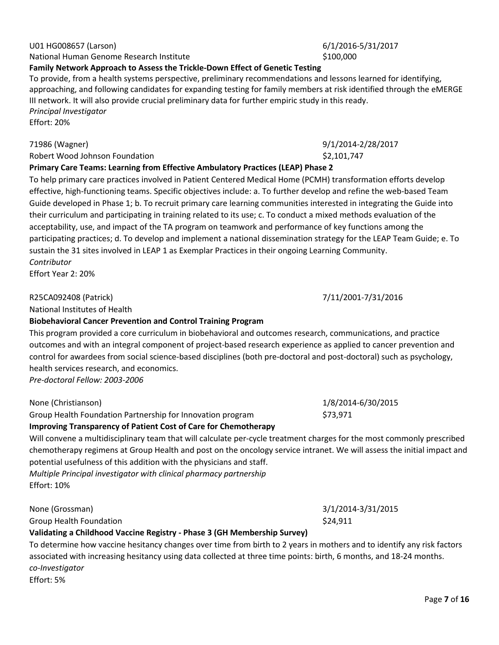None (Christianson) 1/8/2014-6/30/2015

# III network. It will also provide crucial preliminary data for further empiric study in this ready. *Principal Investigator* Effort: 20%

approaching, and following candidates for expanding testing for family members at risk identified through the eMERGE

71986 (Wagner) 9/1/2014-2/28/2017 Robert Wood Johnson Foundation **\$2,101,747** \$2,101,747

# **Primary Care Teams: Learning from Effective Ambulatory Practices (LEAP) Phase 2**

To help primary care practices involved in Patient Centered Medical Home (PCMH) transformation efforts develop effective, high-functioning teams. Specific objectives include: a. To further develop and refine the web-based Team Guide developed in Phase 1; b. To recruit primary care learning communities interested in integrating the Guide into their curriculum and participating in training related to its use; c. To conduct a mixed methods evaluation of the acceptability, use, and impact of the TA program on teamwork and performance of key functions among the participating practices; d. To develop and implement a national dissemination strategy for the LEAP Team Guide; e. To sustain the 31 sites involved in LEAP 1 as Exemplar Practices in their ongoing Learning Community. *Contributor*

Effort Year 2: 20%

# R25CA092408 (Patrick) 7/11/2001-7/31/2016

National Institutes of Health

# **Biobehavioral Cancer Prevention and Control Training Program**

This program provided a core curriculum in biobehavioral and outcomes research, communications, and practice outcomes and with an integral component of project-based research experience as applied to cancer prevention and control for awardees from social science-based disciplines (both pre-doctoral and post-doctoral) such as psychology, health services research, and economics.

*Pre-doctoral Fellow: 2003-2006*

Group Health Foundation Partnership for Innovation program \$73,971 **Improving Transparency of Patient Cost of Care for Chemotherapy**

Will convene a multidisciplinary team that will calculate per-cycle treatment charges for the most commonly prescribed chemotherapy regimens at Group Health and post on the oncology service intranet. We will assess the initial impact and potential usefulness of this addition with the physicians and staff.

*Multiple Principal investigator with clinical pharmacy partnership* Effort: 10%

None (Grossman) 3/1/2014-3/31/2015

Group Health Foundation  $$24,911$ 

# **Validating a Childhood Vaccine Registry - Phase 3 (GH Membership Survey)**

To determine how vaccine hesitancy changes over time from birth to 2 years in mothers and to identify any risk factors associated with increasing hesitancy using data collected at three time points: birth, 6 months, and 18-24 months. *co-Investigator*

Effort: 5%

National Human Genome Research Institute **\$100,000** \$100,000

# **Family Network Approach to Assess the Trickle-Down Effect of Genetic Testing**

To provide, from a health systems perspective, preliminary recommendations and lessons learned for identifying,

# U01 HG008657 (Larson) 6/1/2016-5/31/2017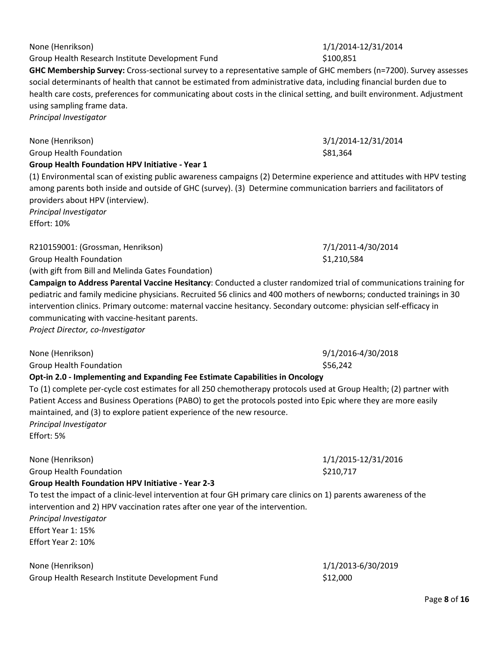Group Health Research Institute Development Fund \$100,851

**GHC Membership Survey:** Cross-sectional survey to a representative sample of GHC members (n=7200). Survey assesses social determinants of health that cannot be estimated from administrative data, including financial burden due to health care costs, preferences for communicating about costs in the clinical setting, and built environment. Adjustment using sampling frame data.

*Principal Investigator*

None (Henrikson) 3/1/2014-12/31/2014 Group Health Foundation **\$81,364** S81,364 **Group Health Foundation HPV Initiative - Year 1**

(1) Environmental scan of existing public awareness campaigns (2) Determine experience and attitudes with HPV testing among parents both inside and outside of GHC (survey). (3) Determine communication barriers and facilitators of providers about HPV (interview).

*Principal Investigator* Effort: 10%

R210159001: (Grossman, Henrikson) 7/1/2011-4/30/2014 Group Health Foundation  $$1,210,584$ 

(with gift from Bill and Melinda Gates Foundation)

**Campaign to Address Parental Vaccine Hesitancy**: Conducted a cluster randomized trial of communications training for pediatric and family medicine physicians. Recruited 56 clinics and 400 mothers of newborns; conducted trainings in 30 intervention clinics. Primary outcome: maternal vaccine hesitancy. Secondary outcome: physician self-efficacy in communicating with vaccine-hesitant parents.

*Project Director, co-Investigator*

None (Henrikson) 9/1/2016-4/30/2018 Group Health Foundation  $\sim$  556.242

# **Opt-in 2.0 - Implementing and Expanding Fee Estimate Capabilities in Oncology**

To (1) complete per-cycle cost estimates for all 250 chemotherapy protocols used at Group Health; (2) partner with Patient Access and Business Operations (PABO) to get the protocols posted into Epic where they are more easily maintained, and (3) to explore patient experience of the new resource. *Principal Investigator* Effort: 5%

None (Henrikson) 1/1/2015-12/31/2016 Group Health Foundation  $$210,717$ **Group Health Foundation HPV Initiative - Year 2-3** To test the impact of a clinic-level intervention at four GH primary care clinics on 1) parents awareness of the intervention and 2) HPV vaccination rates after one year of the intervention. *Principal Investigator* Effort Year 1: 15% Effort Year 2: 10%

None (Henrikson) 1/1/2013-6/30/2019 Group Health Research Institute Development Fund  $$12,000$ 

None (Henrikson) 1/1/2014-12/31/2014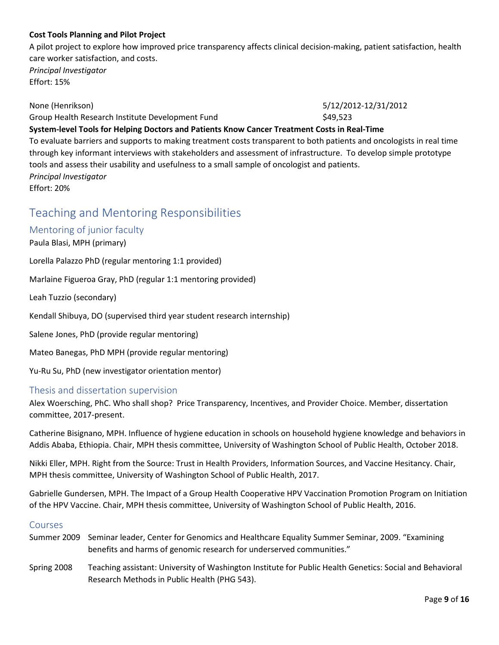### **Cost Tools Planning and Pilot Project**

A pilot project to explore how improved price transparency affects clinical decision-making, patient satisfaction, health care worker satisfaction, and costs. *Principal Investigator*

Effort: 15%

None (Henrikson) 5/12/2012-12/31/2012

Group Health Research Institute Development Fund  $$49,523$ 

### **System-level Tools for Helping Doctors and Patients Know Cancer Treatment Costs in Real-Time**

To evaluate barriers and supports to making treatment costs transparent to both patients and oncologists in real time through key informant interviews with stakeholders and assessment of infrastructure. To develop simple prototype tools and assess their usability and usefulness to a small sample of oncologist and patients. *Principal Investigator*

Effort: 20%

# Teaching and Mentoring Responsibilities

### Mentoring of junior faculty

### Paula Blasi, MPH (primary)

Lorella Palazzo PhD (regular mentoring 1:1 provided)

Marlaine Figueroa Gray, PhD (regular 1:1 mentoring provided)

Leah Tuzzio (secondary)

Kendall Shibuya, DO (supervised third year student research internship)

Salene Jones, PhD (provide regular mentoring)

Mateo Banegas, PhD MPH (provide regular mentoring)

Yu-Ru Su, PhD (new investigator orientation mentor)

### Thesis and dissertation supervision

Alex Woersching, PhC. Who shall shop? Price Transparency, Incentives, and Provider Choice. Member, dissertation committee, 2017-present.

Catherine Bisignano, MPH. Influence of hygiene education in schools on household hygiene knowledge and behaviors in Addis Ababa, Ethiopia. Chair, MPH thesis committee, University of Washington School of Public Health, October 2018.

Nikki Eller, MPH. Right from the Source: Trust in Health Providers, Information Sources, and Vaccine Hesitancy. Chair, MPH thesis committee, University of Washington School of Public Health, 2017.

Gabrielle Gundersen, MPH. The Impact of a Group Health Cooperative HPV Vaccination Promotion Program on Initiation of the HPV Vaccine. Chair, MPH thesis committee, University of Washington School of Public Health, 2016.

### Courses

- Summer 2009 Seminar leader, Center for Genomics and Healthcare Equality Summer Seminar, 2009. "Examining benefits and harms of genomic research for underserved communities."
- Spring 2008 Teaching assistant: University of Washington Institute for Public Health Genetics: Social and Behavioral Research Methods in Public Health (PHG 543).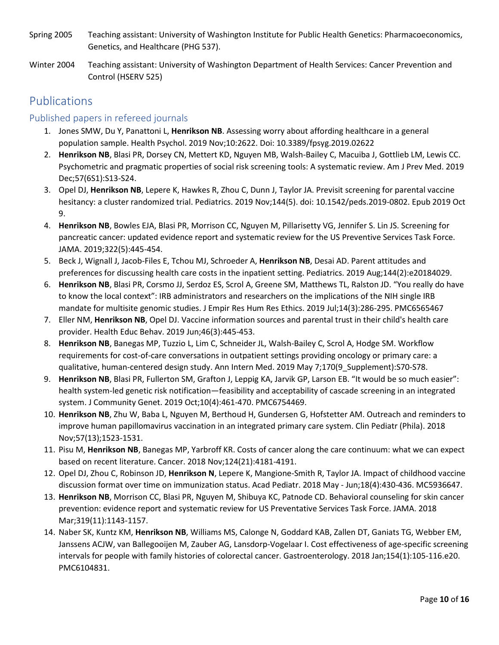- Spring 2005 Teaching assistant: University of Washington Institute for Public Health Genetics: Pharmacoeconomics, Genetics, and Healthcare (PHG 537).
- Winter 2004 Teaching assistant: University of Washington Department of Health Services: Cancer Prevention and Control (HSERV 525)

# Publications

# Published papers in refereed journals

- 1. Jones SMW, Du Y, Panattoni L, **Henrikson NB**. Assessing worry about affording healthcare in a general population sample. Health Psychol. 2019 Nov;10:2622. Doi: 10.3389/fpsyg.2019.02622
- 2. **Henrikson NB**, Blasi PR, Dorsey CN, Mettert KD, Nguyen MB, Walsh-Bailey C, Macuiba J, Gottlieb LM, Lewis CC. Psychometric and pragmatic properties of social risk screening tools: A systematic review. Am J Prev Med. 2019 Dec;57(6S1):S13-S24.
- 3. Opel DJ, **Henrikson NB**, Lepere K, Hawkes R, Zhou C, Dunn J, Taylor JA. Previsit screening for parental vaccine hesitancy: a cluster randomized trial. Pediatrics. 2019 Nov;144(5). doi: 10.1542/peds.2019-0802. Epub 2019 Oct 9.
- 4. **Henrikson NB**, Bowles EJA, Blasi PR, Morrison CC, Nguyen M, Pillarisetty VG, Jennifer S. Lin JS. Screening for pancreatic cancer: updated evidence report and systematic review for the US Preventive Services Task Force. JAMA. 2019;322(5):445-454.
- 5. Beck J, Wignall J, Jacob-Files E, Tchou MJ, Schroeder A, **Henrikson NB**, Desai AD. Parent attitudes and preferences for discussing health care costs in the inpatient setting. Pediatrics. 2019 Aug;144(2):e20184029.
- 6. **Henrikson NB**, Blasi PR, Corsmo JJ, Serdoz ES, Scrol A, Greene SM, Matthews TL, Ralston JD. "You really do have to know the local context": IRB administrators and researchers on the implications of the NIH single IRB mandate for multisite genomic studies. J Empir Res Hum Res Ethics. 2019 Jul;14(3):286-295. PMC6565467
- 7. Eller NM, **Henrikson NB**, Opel DJ. Vaccine information sources and parental trust in their child's health care provider. Health Educ Behav. 2019 Jun;46(3):445-453.
- 8. **Henrikson NB**, Banegas MP, Tuzzio L, Lim C, Schneider JL, Walsh-Bailey C, Scrol A, Hodge SM. Workflow requirements for cost-of-care conversations in outpatient settings providing oncology or primary care: a qualitative, human-centered design study. Ann Intern Med. 2019 May 7;170(9\_Supplement):S70-S78.
- 9. **Henrikson NB**, Blasi PR, Fullerton SM, Grafton J, Leppig KA, Jarvik GP, Larson EB. "It would be so much easier": health system-led genetic risk notification—feasibility and acceptability of cascade screening in an integrated system. J Community Genet. 2019 Oct;10(4):461-470. PMC6754469.
- 10. **Henrikson NB**, Zhu W, Baba L, Nguyen M, Berthoud H, Gundersen G, Hofstetter AM. Outreach and reminders to improve human papillomavirus vaccination in an integrated primary care system. Clin Pediatr (Phila). 2018 Nov;57(13);1523-1531.
- 11. Pisu M, **Henrikson NB**, Banegas MP, Yarbroff KR. Costs of cancer along the care continuum: what we can expect based on recent literature. Cancer. 2018 Nov;124(21):4181-4191.
- 12. Opel DJ, Zhou C, Robinson JD, **Henrikson N**, Lepere K, Mangione-Smith R, Taylor JA. Impact of childhood vaccine discussion format over time on immunization status. Acad Pediatr. 2018 May - Jun;18(4):430-436. MC5936647.
- 13. **Henrikson NB**, Morrison CC, Blasi PR, Nguyen M, Shibuya KC, Patnode CD. Behavioral counseling for skin cancer prevention: evidence report and systematic review for US Preventative Services Task Force. JAMA. 2018 Mar;319(11):1143-1157.
- 14. Naber SK, Kuntz KM, **Henrikson NB**, Williams MS, Calonge N, Goddard KAB, Zallen DT, Ganiats TG, Webber EM, Janssens ACJW, van Ballegooijen M, Zauber AG, Lansdorp-Vogelaar I. Cost effectiveness of age-specific screening intervals for people with family histories of colorectal cancer. Gastroenterology. 2018 Jan;154(1):105-116.e20. PMC6104831.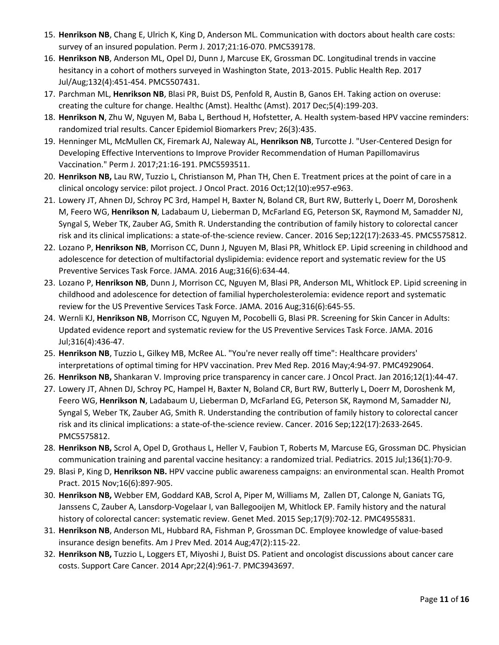- 15. **Henrikson NB**, Chang E, Ulrich K, King D, Anderson ML. Communication with doctors about health care costs: survey of an insured population. Perm J. 2017;21:16-070. PMC539178.
- 16. **Henrikson NB**, Anderson ML, Opel DJ, Dunn J, Marcuse EK, Grossman DC. Longitudinal trends in vaccine hesitancy in a cohort of mothers surveyed in Washington State, 2013-2015. Public Health Rep. 2017 Jul/Aug;132(4):451-454. PMC5507431.
- 17. Parchman ML, **Henrikson NB**, Blasi PR, Buist DS, Penfold R, Austin B, Ganos EH. Taking action on overuse: creating the culture for change. Healthc (Amst). Healthc (Amst). 2017 Dec;5(4):199-203.
- 18. **Henrikson N**, Zhu W, Nguyen M, Baba L, Berthoud H, Hofstetter, A. Health system-based HPV vaccine reminders: randomized trial results. Cancer Epidemiol Biomarkers Prev; 26(3):435.
- 19. Henninger ML, McMullen CK, Firemark AJ, Naleway AL, **Henrikson NB**, Turcotte J. "User-Centered Design for Developing Effective Interventions to Improve Provider Recommendation of Human Papillomavirus Vaccination." Perm J. 2017;21:16-191. PMC5593511.
- 20. **Henrikson NB,** Lau RW, Tuzzio L, Christianson M, Phan TH, Chen E. Treatment prices at the point of care in a clinical oncology service: pilot project. J Oncol Pract. 2016 Oct;12(10):e957-e963.
- 21. Lowery JT, Ahnen DJ, Schroy PC 3rd, Hampel H, Baxter N, Boland CR, Burt RW, Butterly L, Doerr M, Doroshenk M, Feero WG, **Henrikson N**, Ladabaum U, Lieberman D, McFarland EG, Peterson SK, Raymond M, Samadder NJ, Syngal S, Weber TK, Zauber AG, Smith R. Understanding the contribution of family history to colorectal cancer risk and its clinical implications: a state-of-the-science review. Cancer. 2016 Sep;122(17):2633-45. PMC5575812.
- 22. Lozano P, **Henrikson NB**, Morrison CC, Dunn J, Nguyen M, Blasi PR, Whitlock EP. Lipid screening in childhood and adolescence for detection of multifactorial dyslipidemia: evidence report and systematic review for the US Preventive Services Task Force. JAMA. 2016 Aug;316(6):634-44.
- 23. Lozano P, **Henrikson NB**, Dunn J, Morrison CC, Nguyen M, Blasi PR, Anderson ML, Whitlock EP. Lipid screening in childhood and adolescence for detection of familial hypercholesterolemia: evidence report and systematic review for the US Preventive Services Task Force. JAMA. 2016 Aug;316(6):645-55.
- 24. Wernli KJ, **Henrikson NB**, Morrison CC, Nguyen M, Pocobelli G, Blasi PR. Screening for Skin Cancer in Adults: Updated evidence report and systematic review for the US Preventive Services Task Force. JAMA. 2016 Jul;316(4):436-47.
- 25. **Henrikson NB**, Tuzzio L, Gilkey MB, McRee AL. "You're never really off time": Healthcare providers' interpretations of optimal timing for HPV vaccination. Prev Med Rep. 2016 May;4:94-97. PMC4929064.
- 26. **Henrikson NB,** Shankaran V. Improving price transparency in cancer care. J Oncol Pract. Jan 2016;12(1):44-47.
- 27. Lowery JT, Ahnen DJ, Schroy PC, Hampel H, Baxter N, Boland CR, Burt RW, Butterly L, Doerr M, Doroshenk M, Feero WG, **Henrikson N**, Ladabaum U, Lieberman D, McFarland EG, Peterson SK, Raymond M, Samadder NJ, Syngal S, Weber TK, Zauber AG, Smith R. Understanding the contribution of family history to colorectal cancer risk and its clinical implications: a state-of-the-science review. Cancer. 2016 Sep;122(17):2633-2645. PMC5575812.
- 28. **Henrikson NB,** Scrol A, Opel D, Grothaus L, Heller V, Faubion T, Roberts M, Marcuse EG, Grossman DC. Physician communication training and parental vaccine hesitancy: a randomized trial. Pediatrics. 2015 Jul;136(1):70-9.
- 29. Blasi P, King D, **Henrikson NB.** HPV vaccine public awareness campaigns: an environmental scan. Health Promot Pract. 2015 Nov;16(6):897-905.
- 30. **Henrikson NB,** Webber EM, Goddard KAB, Scrol A, Piper M, Williams M, Zallen DT, Calonge N, Ganiats TG, Janssens C, Zauber A, Lansdorp-Vogelaar I, van Ballegooijen M, Whitlock EP. Family history and the natural history of colorectal cancer: systematic review. Genet Med. 2015 Sep;17(9):702-12. PMC4955831.
- 31. **Henrikson NB**, Anderson ML, Hubbard RA, Fishman P, Grossman DC. Employee knowledge of value-based insurance design benefits. Am J Prev Med. 2014 Aug;47(2):115-22.
- 32. **Henrikson NB,** Tuzzio L, Loggers ET, Miyoshi J, Buist DS. Patient and oncologist discussions about cancer care costs. Support Care Cancer. 2014 Apr;22(4):961-7. PMC3943697.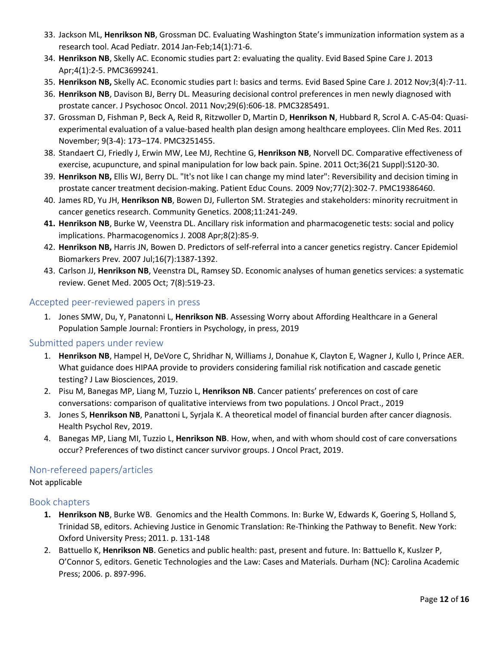- 33. Jackson ML, **Henrikson NB**, Grossman DC. Evaluating Washington State's immunization information system as a research tool. Acad Pediatr. 2014 Jan-Feb;14(1):71-6.
- 34. **Henrikson NB**, Skelly AC. Economic studies part 2: evaluating the quality. Evid Based Spine Care J. 2013 Apr;4(1):2-5. PMC3699241.
- 35. **Henrikson NB,** Skelly AC. Economic studies part I: basics and terms. Evid Based Spine Care J. 2012 Nov;3(4):7-11.
- 36. **Henrikson NB**, Davison BJ, Berry DL. Measuring decisional control preferences in men newly diagnosed with prostate cancer. J Psychosoc Oncol. 2011 Nov;29(6):606-18. PMC3285491.
- 37. Grossman D, Fishman P, Beck A, Reid R, Ritzwoller D, Martin D, **Henrikson N**, Hubbard R, Scrol A. C-A5-04: Quasiexperimental evaluation of a value-based health plan design among healthcare employees. Clin Med Res. 2011 November; 9(3-4): 173–174. PMC3251455.
- 38. Standaert CJ, Friedly J, Erwin MW, Lee MJ, Rechtine G, **Henrikson NB**, Norvell DC. Comparative effectiveness of exercise, acupuncture, and spinal manipulation for low back pain. Spine. 2011 Oct;36(21 Suppl):S120-30.
- 39. **Henrikson NB,** Ellis WJ, Berry DL. "It's not like I can change my mind later": Reversibility and decision timing in prostate cancer treatment decision-making. Patient Educ Couns. 2009 Nov;77(2):302-7. PMC19386460.
- 40. James RD, Yu JH, **Henrikson NB**, Bowen DJ, Fullerton SM. Strategies and stakeholders: minority recruitment in cancer genetics research. Community Genetics. 2008;11:241-249.
- **41. Henrikson NB**, Burke W, Veenstra DL. Ancillary risk information and pharmacogenetic tests: social and policy implications. Pharmacogenomics J. 2008 Apr;8(2):85-9.
- 42. **Henrikson NB,** Harris JN, Bowen D. Predictors of self-referral into a cancer genetics registry. Cancer Epidemiol Biomarkers Prev*.* 2007 Jul;16(7):1387-1392.
- 43. Carlson JJ, **Henrikson NB**, Veenstra DL, Ramsey SD. Economic analyses of human genetics services: a systematic review. Genet Med. 2005 Oct; 7(8):519-23.

# Accepted peer-reviewed papers in press

1. Jones SMW, Du, Y, Panatonni L, **Henrikson NB**. Assessing Worry about Affording Healthcare in a General Population Sample Journal: Frontiers in Psychology, in press, 2019

# Submitted papers under review

- 1. **Henrikson NB**, Hampel H, DeVore C, Shridhar N, Williams J, Donahue K, Clayton E, Wagner J, Kullo I, Prince AER. What guidance does HIPAA provide to providers considering familial risk notification and cascade genetic testing? J Law Biosciences, 2019.
- 2. Pisu M, Banegas MP, Liang M, Tuzzio L, **Henrikson NB**. Cancer patients' preferences on cost of care conversations: comparison of qualitative interviews from two populations. J Oncol Pract., 2019
- 3. Jones S, **Henrikson NB**, Panattoni L, Syrjala K. A theoretical model of financial burden after cancer diagnosis. Health Psychol Rev, 2019.
- 4. Banegas MP, Liang MI, Tuzzio L, **Henrikson NB**. How, when, and with whom should cost of care conversations occur? Preferences of two distinct cancer survivor groups. J Oncol Pract, 2019.

# Non-refereed papers/articles

# Not applicable

# Book chapters

- **1. Henrikson NB**, Burke WB. Genomics and the Health Commons. In: Burke W, Edwards K, Goering S, Holland S, Trinidad SB, editors. Achieving Justice in Genomic Translation: Re-Thinking the Pathway to Benefit. New York: Oxford University Press; 2011. p. 131-148
- 2. Battuello K, **Henrikson NB**. Genetics and public health: past, present and future. In: Battuello K, Kuslzer P, O'Connor S, editors. Genetic Technologies and the Law: Cases and Materials. Durham (NC): Carolina Academic Press; 2006. p. 897-996.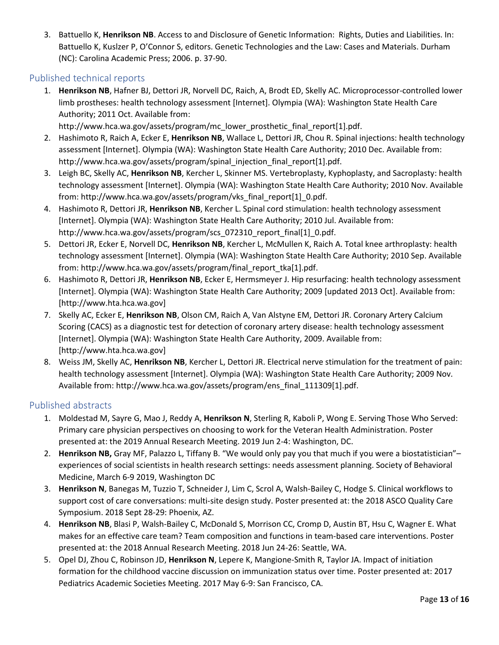3. Battuello K, **Henrikson NB**. Access to and Disclosure of Genetic Information: Rights, Duties and Liabilities. In: Battuello K, Kuslzer P, O'Connor S, editors. Genetic Technologies and the Law: Cases and Materials. Durham (NC): Carolina Academic Press; 2006. p. 37-90.

# Published technical reports

1. **Henrikson NB**, Hafner BJ, Dettori JR, Norvell DC, Raich, A, Brodt ED, Skelly AC. Microprocessor-controlled lower limb prostheses: health technology assessment [Internet]. Olympia (WA): Washington State Health Care Authority; 2011 Oct. Available from:

http://www.hca.wa.gov/assets/program/mc\_lower\_prosthetic\_final\_report[1].pdf.

- 2. Hashimoto R, Raich A, Ecker E, **Henrikson NB**, Wallace L, Dettori JR, Chou R. Spinal injections: health technology assessment [Internet]. Olympia (WA): Washington State Health Care Authority; 2010 Dec. Available from: http://www.hca.wa.gov/assets/program/spinal\_injection\_final\_report[1].pdf.
- 3. Leigh BC, Skelly AC, **Henrikson NB**, Kercher L, Skinner MS. Vertebroplasty, Kyphoplasty, and Sacroplasty: health technology assessment [Internet]. Olympia (WA): Washington State Health Care Authority; 2010 Nov. Available from: http://www.hca.wa.gov/assets/program/vks\_final\_report[1]\_0.pdf.
- 4. Hashimoto R, Dettori JR, **Henrikson NB**, Kercher L. Spinal cord stimulation: health technology assessment [Internet]. Olympia (WA): Washington State Health Care Authority; 2010 Jul. Available from: http://www.hca.wa.gov/assets/program/scs\_072310\_report\_final[1]\_0.pdf.
- 5. Dettori JR, Ecker E, Norvell DC, **Henrikson NB**, Kercher L, McMullen K, Raich A. Total knee arthroplasty: health technology assessment [Internet]. Olympia (WA): Washington State Health Care Authority; 2010 Sep. Available from: http://www.hca.wa.gov/assets/program/final\_report\_tka[1].pdf.
- 6. Hashimoto R, Dettori JR, **Henrikson NB**, Ecker E, Hermsmeyer J. Hip resurfacing: health technology assessment [Internet]. Olympia (WA): Washington State Health Care Authority; 2009 [updated 2013 Oct]. Available from: [http://www.hta.hca.wa.gov]
- 7. Skelly AC, Ecker E, **Henrikson NB**, Olson CM, Raich A, Van Alstyne EM, Dettori JR. Coronary Artery Calcium Scoring (CACS) as a diagnostic test for detection of coronary artery disease: health technology assessment [Internet]. Olympia (WA): Washington State Health Care Authority, 2009. Available from: [http://www.hta.hca.wa.gov]
- 8. Weiss JM, Skelly AC, **Henrikson NB**, Kercher L, Dettori JR. Electrical nerve stimulation for the treatment of pain: health technology assessment [Internet]. Olympia (WA): Washington State Health Care Authority; 2009 Nov. Available from: http://www.hca.wa.gov/assets/program/ens\_final\_111309[1].pdf.

# Published abstracts

- 1. Moldestad M, Sayre G, Mao J, Reddy A, **Henrikson N**, Sterling R, Kaboli P, Wong E. Serving Those Who Served: Primary care physician perspectives on choosing to work for the Veteran Health Administration. Poster presented at: the 2019 Annual Research Meeting. 2019 Jun 2-4: Washington, DC.
- 2. **Henrikson NB,** Gray MF, Palazzo L, Tiffany B. "We would only pay you that much if you were a biostatistician"– experiences of social scientists in health research settings: needs assessment planning. Society of Behavioral Medicine, March 6-9 2019, Washington DC
- 3. **Henrikson N**, Banegas M, Tuzzio T, Schneider J, Lim C, Scrol A, Walsh-Bailey C, Hodge S. Clinical workflows to support cost of care conversations: multi-site design study. Poster presented at: the 2018 ASCO Quality Care Symposium. 2018 Sept 28-29: Phoenix, AZ.
- 4. **Henrikson NB**, Blasi P, Walsh-Bailey C, McDonald S, Morrison CC, Cromp D, Austin BT, Hsu C, Wagner E. What makes for an effective care team? Team composition and functions in team-based care interventions. Poster presented at: the 2018 Annual Research Meeting. 2018 Jun 24-26: Seattle, WA.
- 5. Opel DJ, Zhou C, Robinson JD, **Henrikson N**, Lepere K, Mangione-Smith R, Taylor JA. Impact of initiation formation for the childhood vaccine discussion on immunization status over time. Poster presented at: 2017 Pediatrics Academic Societies Meeting. 2017 May 6-9: San Francisco, CA.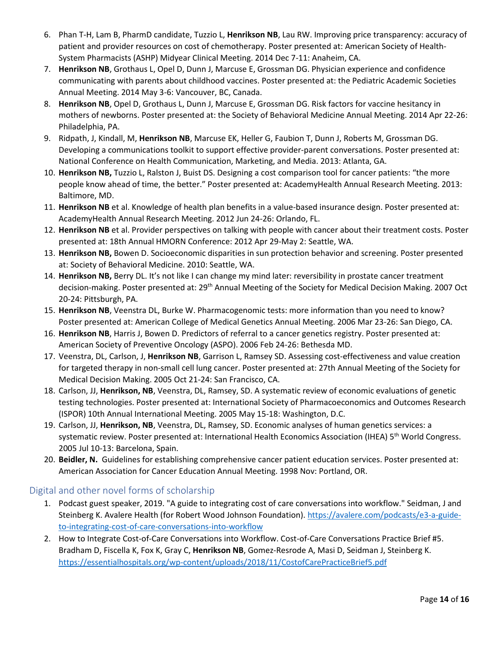- 6. Phan T-H, Lam B, PharmD candidate, Tuzzio L, **Henrikson NB**, Lau RW. Improving price transparency: accuracy of patient and provider resources on cost of chemotherapy. Poster presented at: American Society of Health-System Pharmacists (ASHP) Midyear Clinical Meeting. 2014 Dec 7-11: Anaheim, CA.
- 7. **Henrikson NB**, Grothaus L, Opel D, Dunn J, Marcuse E, Grossman DG. Physician experience and confidence communicating with parents about childhood vaccines. Poster presented at: the Pediatric Academic Societies Annual Meeting. 2014 May 3-6: Vancouver, BC, Canada.
- 8. **Henrikson NB**, Opel D, Grothaus L, Dunn J, Marcuse E, Grossman DG. Risk factors for vaccine hesitancy in mothers of newborns. Poster presented at: the Society of Behavioral Medicine Annual Meeting. 2014 Apr 22-26: Philadelphia, PA.
- 9. Ridpath, J, Kindall, M, **Henrikson NB**, Marcuse EK, Heller G, Faubion T, Dunn J, Roberts M, Grossman DG. Developing a communications toolkit to support effective provider-parent conversations. Poster presented at: National Conference on Health Communication, Marketing, and Media. 2013: Atlanta, GA.
- 10. **Henrikson NB,** Tuzzio L, Ralston J, Buist DS. Designing a cost comparison tool for cancer patients: "the more people know ahead of time, the better." Poster presented at: AcademyHealth Annual Research Meeting. 2013: Baltimore, MD.
- 11. **Henrikson NB** et al. Knowledge of health plan benefits in a value-based insurance design. Poster presented at: AcademyHealth Annual Research Meeting. 2012 Jun 24-26: Orlando, FL.
- 12. **Henrikson NB** et al. Provider perspectives on talking with people with cancer about their treatment costs. Poster presented at: 18th Annual HMORN Conference: 2012 Apr 29-May 2: Seattle, WA.
- 13. **Henrikson NB,** Bowen D. Socioeconomic disparities in sun protection behavior and screening. Poster presented at: Society of Behavioral Medicine. 2010: Seattle, WA.
- 14. **Henrikson NB,** Berry DL. It's not like I can change my mind later: reversibility in prostate cancer treatment decision-making. Poster presented at: 29<sup>th</sup> Annual Meeting of the Society for Medical Decision Making. 2007 Oct 20-24: Pittsburgh, PA.
- 15. **Henrikson NB**, Veenstra DL, Burke W. Pharmacogenomic tests: more information than you need to know? Poster presented at: American College of Medical Genetics Annual Meeting. 2006 Mar 23-26: San Diego, CA.
- 16. **Henrikson NB**, Harris J, Bowen D. Predictors of referral to a cancer genetics registry. Poster presented at: American Society of Preventive Oncology (ASPO). 2006 Feb 24-26: Bethesda MD.
- 17. Veenstra, DL, Carlson, J, **Henrikson NB**, Garrison L, Ramsey SD. Assessing cost-effectiveness and value creation for targeted therapy in non-small cell lung cancer. Poster presented at: 27th Annual Meeting of the Society for Medical Decision Making. 2005 Oct 21-24: San Francisco, CA.
- 18. Carlson, JJ, **Henrikson, NB**, Veenstra, DL, Ramsey, SD. A systematic review of economic evaluations of genetic testing technologies. Poster presented at: International Society of Pharmacoeconomics and Outcomes Research (ISPOR) 10th Annual International Meeting. 2005 May 15-18: Washington, D.C.
- 19. Carlson, JJ, **Henrikson, NB**, Veenstra, DL, Ramsey, SD. Economic analyses of human genetics services: a systematic review. Poster presented at: International Health Economics Association (IHEA) 5th World Congress. 2005 Jul 10-13: Barcelona, Spain.
- 20. **Beidler, N.** Guidelines for establishing comprehensive cancer patient education services. Poster presented at: American Association for Cancer Education Annual Meeting. 1998 Nov: Portland, OR.

# Digital and other novel forms of scholarship

- 1. Podcast guest speaker, 2019. "A guide to integrating cost of care conversations into workflow." Seidman, J and Steinberg K. Avalere Health (for Robert Wood Johnson Foundation)[. https://avalere.com/podcasts/e3-a-guide](https://avalere.com/podcasts/e3-a-guide-to-integrating-cost-of-care-conversations-into-workflow)[to-integrating-cost-of-care-conversations-into-workflow](https://avalere.com/podcasts/e3-a-guide-to-integrating-cost-of-care-conversations-into-workflow)
- 2. How to Integrate Cost-of-Care Conversations into Workflow. Cost-of-Care Conversations Practice Brief #5. Bradham D, Fiscella K, Fox K, Gray C, **Henrikson NB**, Gomez-Resrode A, Masi D, Seidman J, Steinberg K. <https://essentialhospitals.org/wp-content/uploads/2018/11/CostofCarePracticeBrief5.pdf>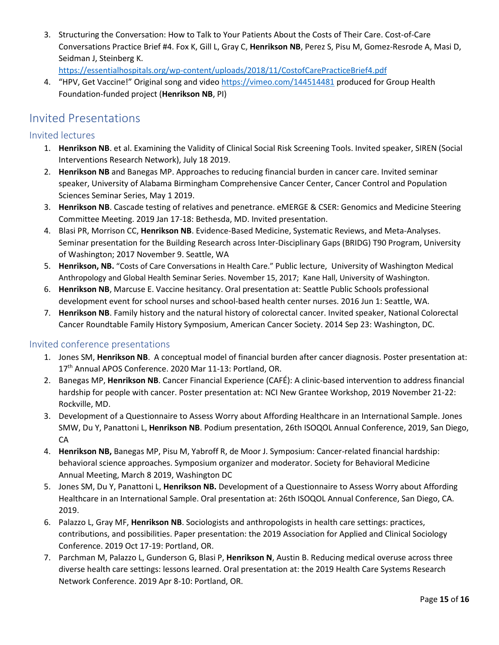3. Structuring the Conversation: How to Talk to Your Patients About the Costs of Their Care. Cost-of-Care Conversations Practice Brief #4. Fox K, Gill L, Gray C, **Henrikson NB**, Perez S, Pisu M, Gomez-Resrode A, Masi D, Seidman J, Steinberg K.

<https://essentialhospitals.org/wp-content/uploads/2018/11/CostofCarePracticeBrief4.pdf>

4. "HPV, Get Vaccine!" Original song and video<https://vimeo.com/144514481> produced for Group Health Foundation-funded project (**Henrikson NB**, PI)

# Invited Presentations

# Invited lectures

- 1. **Henrikson NB**. et al. Examining the Validity of Clinical Social Risk Screening Tools. Invited speaker, SIREN (Social Interventions Research Network), July 18 2019.
- 2. **Henrikson NB** and Banegas MP. Approaches to reducing financial burden in cancer care. Invited seminar speaker, University of Alabama Birmingham Comprehensive Cancer Center, Cancer Control and Population Sciences Seminar Series, May 1 2019.
- 3. **Henrikson NB**. Cascade testing of relatives and penetrance. eMERGE & CSER: Genomics and Medicine Steering Committee Meeting. 2019 Jan 17-18: Bethesda, MD. Invited presentation.
- 4. Blasi PR, Morrison CC, **Henrikson NB**. Evidence-Based Medicine, Systematic Reviews, and Meta-Analyses. Seminar presentation for the Building Research across Inter-Disciplinary Gaps (BRIDG) T90 Program, University of Washington; 2017 November 9. Seattle, WA
- 5. **Henrikson, NB.** "Costs of Care Conversations in Health Care." Public lecture, University of Washington Medical Anthropology and Global Health Seminar Series. November 15, 2017; Kane Hall, University of Washington.
- 6. **Henrikson NB**, Marcuse E. Vaccine hesitancy. Oral presentation at: Seattle Public Schools professional development event for school nurses and school-based health center nurses. 2016 Jun 1: Seattle, WA.
- 7. **Henrikson NB**. Family history and the natural history of colorectal cancer. Invited speaker, National Colorectal Cancer Roundtable Family History Symposium, American Cancer Society. 2014 Sep 23: Washington, DC.

# Invited conference presentations

- 1. Jones SM, **Henrikson NB**. A conceptual model of financial burden after cancer diagnosis. Poster presentation at: 17<sup>th</sup> Annual APOS Conference. 2020 Mar 11-13: Portland, OR.
- 2. Banegas MP, **Henrikson NB**. Cancer Financial Experience (CAFÉ): A clinic-based intervention to address financial hardship for people with cancer. Poster presentation at: NCI New Grantee Workshop, 2019 November 21-22: Rockville, MD.
- 3. Development of a Questionnaire to Assess Worry about Affording Healthcare in an International Sample. Jones SMW, Du Y, Panattoni L, **Henrikson NB**. Podium presentation, 26th ISOQOL Annual Conference, 2019, San Diego, CA
- 4. **Henrikson NB,** Banegas MP, Pisu M, Yabroff R, de Moor J. Symposium: Cancer-related financial hardship: behavioral science approaches. Symposium organizer and moderator. Society for Behavioral Medicine Annual Meeting, March 8 2019, Washington DC
- 5. Jones SM, Du Y, Panattoni L, **Henrikson NB.** Development of a Questionnaire to Assess Worry about Affording Healthcare in an International Sample. Oral presentation at: 26th ISOQOL Annual Conference, San Diego, CA. 2019.
- 6. Palazzo L, Gray MF, **Henrikson NB**. Sociologists and anthropologists in health care settings: practices, contributions, and possibilities. Paper presentation: the 2019 Association for Applied and Clinical Sociology Conference. 2019 Oct 17-19: Portland, OR.
- 7. Parchman M, Palazzo L, Gunderson G, Blasi P, **Henrikson N**, Austin B. Reducing medical overuse across three diverse health care settings: lessons learned. Oral presentation at: the 2019 Health Care Systems Research Network Conference. 2019 Apr 8-10: Portland, OR.